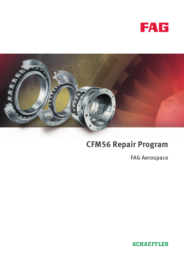



# **CFM56 Repair Program**

FAG Aerospace

**SCHAEFFLER**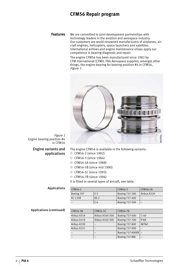# **CFM56 Repair program**

**Features** We are committed to joint development partnerships with technology leaders in the aviation and aerospace industry. Our customers are world renowned manufacturers of airplanes, aircraft engines, helicopters, space launchers and satellites. International airlines and engine maintenance shops apply our competence in bearing diagnosis and repair.

> The engine CFM56 has been manufactured since 1982 by CFM International (CFMI). FAG Aerospace supplies, amongst other things, the engine bearing for bearing position #4 in CFM56, Figure <sup>1</sup>.



Figure 1 Engine bearing position #4 in CFM56

## Engine variants and applications

The engine CFM56 is available in the following variants:

- CFM56-2 (since 1982)
- CFM56-3 (since 1984)
- CFM56-5A (since 1988)
- $\Box$  CFM56-5B (since mid 1990)
- CFM56-5C (since 1993)
- CFM56-7B (since 1994)

It is fitted in several types of aircraft, see table.

#### Applications

| CFM56-2    |        | CFM56-3        | CFM56-5A    |
|------------|--------|----------------|-------------|
| Boeing 707 | $E-3$  | Boeing 737-300 | Airbus A320 |
| KC-135R    | $KE-3$ | Boeing 737-400 |             |
|            | $E-6$  | Boeing 737-500 |             |

#### Applications (continued)

| <b>CFM56-5B</b> | CFM56-5C        | <b>CFM56-7B</b>         |        |
|-----------------|-----------------|-------------------------|--------|
| Airbus A318     | Airbus A340-200 | Boeing 737-600          | $C-40$ |
| Airbus A319     | Airbus A340-300 | Boeing 737-700          | $P-8A$ |
| Airbus A320     |                 | Boeing 737-800          | AET&C  |
| Airbus A321     |                 | Boeing 737-900          |        |
|                 |                 | <b>Boeing 737-900ER</b> |        |
|                 |                 | Boeing 737-BBJ          |        |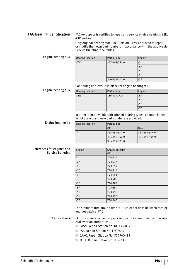## FAG bearing identification FAG Aerospace is certified to repair and service engine bearings #2R, #3R and #4.

Only original bearing manufacturers are CFMI-approved to repair or modify their own part numbers in accordance with the applicable Service Bulletins, see tables.

Engine bearing #2R

| <b>Bearing location</b> | Part number   | Engine |
|-------------------------|---------------|--------|
| #2R                     | 337-108-351-0 | $-3$   |
|                         |               | $-5A$  |
|                         |               | $-5B$  |
|                         |               | $-5C$  |
|                         | 340-257-101-0 | $-7B$  |

Continuing approval is in place for engine bearing #3R:

Engine bearing #3R

| <b>Bearing location</b> | Part number | Engine |
|-------------------------|-------------|--------|
| #3R                     | 1364M91P05  | $-5A$  |
|                         |             | $-5B$  |
|                         |             | $-5C$  |
|                         |             | $-7B$  |

In order to improve identification of bearing types, an interchange list of the old and new part numbers is provided:

Engine bearing #4

| <b>Bearing location</b> | Part number   |               |  |
|-------------------------|---------------|---------------|--|
|                         | Old:          | New:          |  |
| #4                      | 335-352-301-0 | 335-352-304-0 |  |
|                         | 335-352-302-0 | 335-352-305-0 |  |
|                         | 335-352-303-0 |               |  |

| References for engines and |  |                          |
|----------------------------|--|--------------------------|
|                            |  | <b>Service Bulletins</b> |

| Engine | Service Bulletin<br>#4 |
|--------|------------------------|
| $-2$   | 72-0914                |
| $-2A$  | 72-0517                |
| $-2B$  | 72-0659                |
| $-2C$  | 72-0914                |
| $-3$   | 72-0988                |
| $-3B$  | 72-0988                |
| $-3C$  | 72-0988                |
| $-5A$  | 72-0659                |
| $-5B$  | 72-0452                |
| $-5C$  | 72-0490                |
| $-7B$  | 72-0400                |

The standard turn around time is 18 calendar days between receipt and despatch at FAG.

Certifications FAG is a maintenance company with certification from the following civil aviation authorities:

- EASA, Repair Station No. DE.145.0127
- FAA, Repair Station No. F2GY854J
- CAAC, Repair Station No. F04900413
- TCCA, Repair Station No. 809-23.